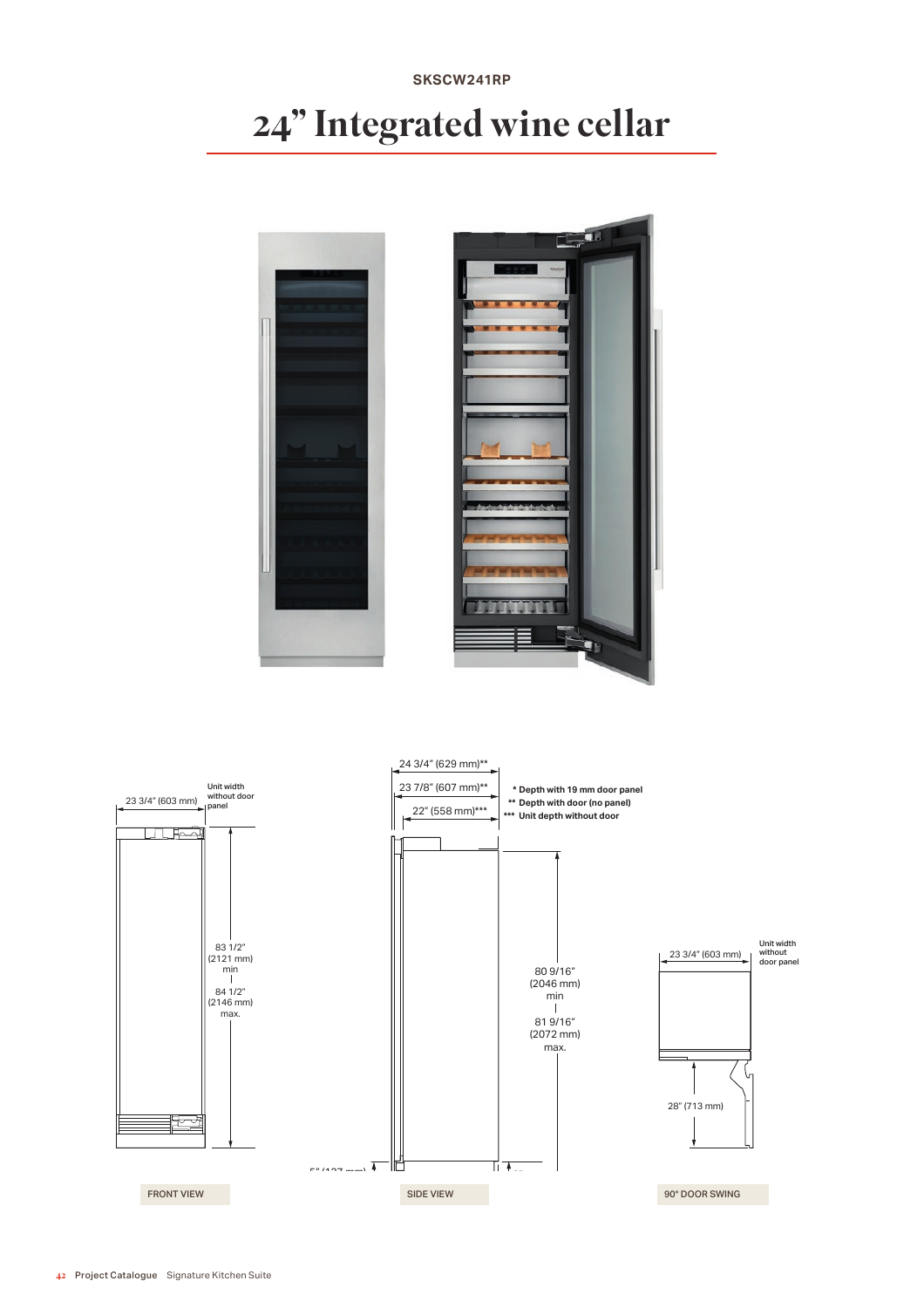# **SKSCW241RP** 24" Integrated wine cellar



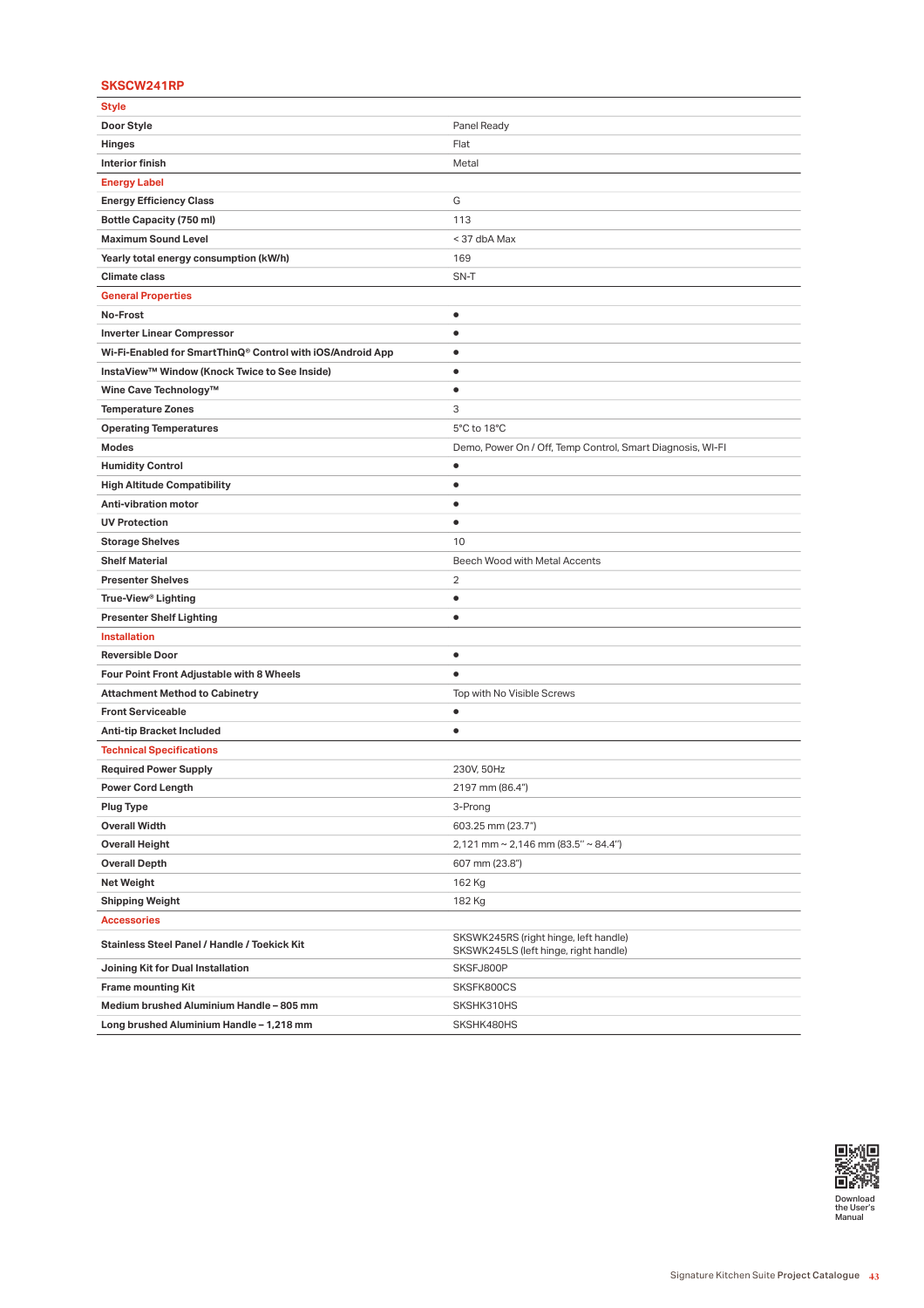## **SKSCW241RP**

| Style                                                      |                                                                                |
|------------------------------------------------------------|--------------------------------------------------------------------------------|
| Door Style                                                 | Panel Ready                                                                    |
| Hinges                                                     | Flat                                                                           |
| <b>Interior finish</b>                                     | Metal                                                                          |
| <b>Energy Label</b>                                        |                                                                                |
| <b>Energy Efficiency Class</b>                             | G                                                                              |
| <b>Bottle Capacity (750 ml)</b>                            | 113                                                                            |
| <b>Maximum Sound Level</b>                                 | < 37 dbA Max                                                                   |
| Yearly total energy consumption (kW/h)                     | 169                                                                            |
| <b>Climate class</b>                                       | SN-T                                                                           |
| <b>General Properties</b>                                  |                                                                                |
| No-Frost                                                   | ٠                                                                              |
| <b>Inverter Linear Compressor</b>                          | $\bullet$                                                                      |
| Wi-Fi-Enabled for SmartThinQ® Control with iOS/Android App | $\bullet$                                                                      |
| InstaView™ Window (Knock Twice to See Inside)              | $\bullet$                                                                      |
| Wine Cave Technology™                                      | $\bullet$                                                                      |
| <b>Temperature Zones</b>                                   | 3                                                                              |
| <b>Operating Temperatures</b>                              | 5°C to 18°C                                                                    |
| Modes                                                      | Demo, Power On / Off, Temp Control, Smart Diagnosis, WI-FI                     |
| <b>Humidity Control</b>                                    | ٠                                                                              |
| <b>High Altitude Compatibility</b>                         | $\bullet$                                                                      |
| Anti-vibration motor                                       | $\bullet$                                                                      |
| <b>UV Protection</b>                                       | $\bullet$                                                                      |
| <b>Storage Shelves</b>                                     | 10                                                                             |
| <b>Shelf Material</b>                                      | Beech Wood with Metal Accents                                                  |
| <b>Presenter Shelves</b>                                   | 2                                                                              |
| True-View® Lighting                                        | ٠                                                                              |
| <b>Presenter Shelf Lighting</b>                            | $\bullet$                                                                      |
| <b>Installation</b>                                        |                                                                                |
| <b>Reversible Door</b>                                     | $\bullet$                                                                      |
| Four Point Front Adjustable with 8 Wheels                  | $\bullet$                                                                      |
| <b>Attachment Method to Cabinetry</b>                      | Top with No Visible Screws                                                     |
| <b>Front Serviceable</b>                                   | ٠                                                                              |
| <b>Anti-tip Bracket Included</b>                           | $\bullet$                                                                      |
| <b>Technical Specifications</b>                            |                                                                                |
| <b>Required Power Supply</b>                               | 230V, 50Hz                                                                     |
| <b>Power Cord Length</b>                                   | 2197 mm (86.4")                                                                |
| <b>Plug Type</b>                                           | 3-Prong                                                                        |
| <b>Overall Width</b>                                       | 603.25 mm (23.7")                                                              |
| <b>Overall Height</b>                                      | 2,121 mm ~ 2,146 mm (83.5" ~ 84.4")                                            |
| <b>Overall Depth</b>                                       | 607 mm (23.8")                                                                 |
| <b>Net Weight</b>                                          | 162 Kg                                                                         |
| <b>Shipping Weight</b>                                     | 182 Kg                                                                         |
| <b>Accessories</b>                                         |                                                                                |
| Stainless Steel Panel / Handle / Toekick Kit               | SKSWK245RS (right hinge, left handle)<br>SKSWK245LS (left hinge, right handle) |
| Joining Kit for Dual Installation                          | SKSFJ800P                                                                      |
| <b>Frame mounting Kit</b>                                  | SKSFK800CS                                                                     |
| Medium brushed Aluminium Handle - 805 mm                   | SKSHK310HS                                                                     |
| Long brushed Aluminium Handle - 1,218 mm                   | SKSHK480HS                                                                     |

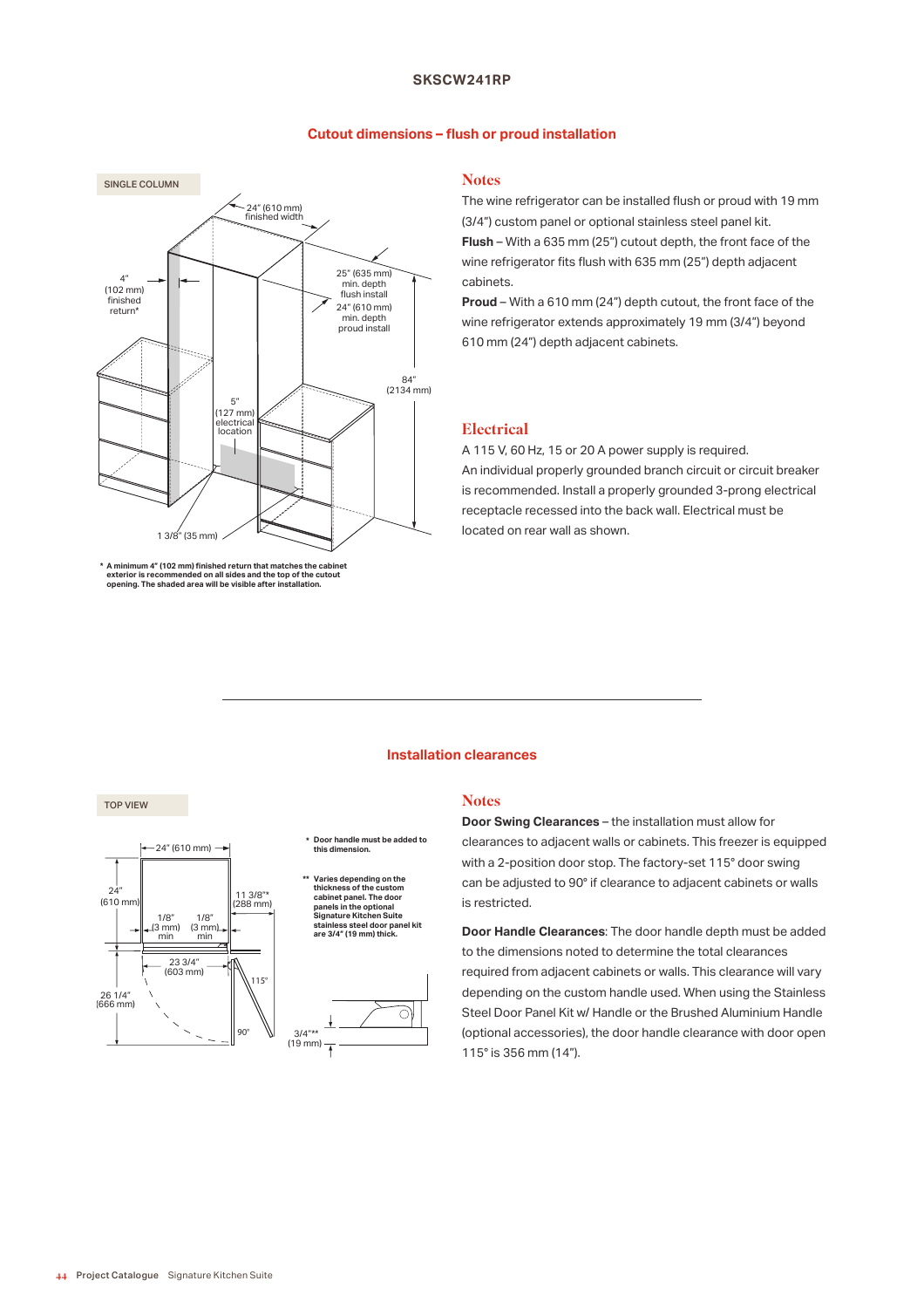### **SKSCW241RP**

#### **Cutout dimensions – fush or proud installation**



<sup>\*</sup> A minimum 4" (102 mm) finished return that matches the cabinet<br>exterior is recommended on all sides and the top of the cutout<br>opening. The shaded area will be visible after installation.

# **Notes**

The wine refrigerator can be installed fush or proud with 19 mm (3/4") custom panel or optional stainless steel panel kit. **Flush** – With a 635 mm (25") cutout depth, the front face of the wine refrigerator fits flush with 635 mm (25") depth adjacent cabinets.

**Proud** – With a 610 mm (24") depth cutout, the front face of the wine refrigerator extends approximately 19 mm (3/4") beyond 610 mm (24") depth adjacent cabinets.

## **Electrical**

A 115 V, 60 Hz, 15 or 20 A power supply is required. An individual properly grounded branch circuit or circuit breaker is recommended. Install a properly grounded 3-prong electrical receptacle recessed into the back wall. Electrical must be located on rear wall as shown.

#### **Installation clearances**

#### **Notes**



**Door Swing Clearances** – the installation must allow for clearances to adjacent walls or cabinets. This freezer is equipped with a 2-position door stop. The factory-set 115° door swing can be adjusted to 90° if clearance to adjacent cabinets or walls is restricted.

**Door Handle Clearances**: The door handle depth must be added to the dimensions noted to determine the total clearances required from adjacent cabinets or walls. This clearance will vary depending on the custom handle used. When using the Stainless Steel Door Panel Kit w/ Handle or the Brushed Aluminium Handle (optional accessories), the door handle clearance with door open 115° is 356 mm (14").

TOP VIEW